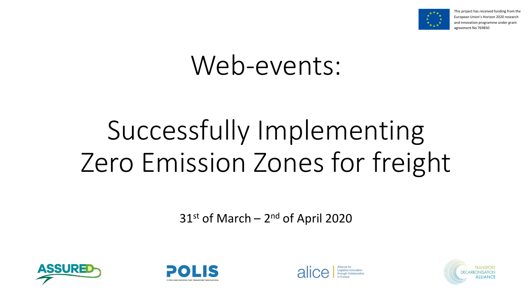



## Web-events:

# Successfully Implementing Zero Emission Zones for freight

31<sup>st</sup> of March - 2<sup>nd</sup> of April 2020







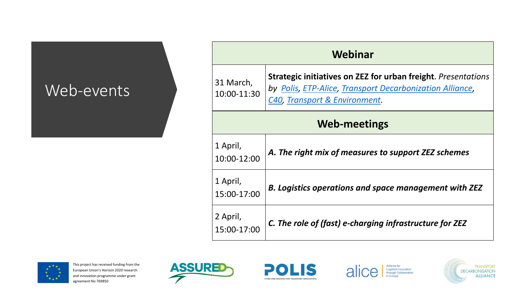



#### **Webinar**

**Strategier in ZEZ for urban freight**. *Presentations* 

*by [Polis,](http://www.polisnetwork.eu/) [ETP-Alice,](https://www.etp-logistics.eu/) [Transport Decarbonization Alliance,](http://tda-mobility.org/) [C40,](https://www.c40.org/other/green-and-healthy-streets) [Transport & Environment.](https://www.transportenvironment.org/publications/low-emission-zones-are-success-%E2%80%93-they-must-now-move-zero-emission-mobility)*

#### Web-events

#### **Web-meetings**

| 31 March,<br>10:00-11:30 | <b>Strategic initiativ</b><br>by Polis, ETP-Alio<br>C40, Transport & |
|--------------------------|----------------------------------------------------------------------|
|                          | l C                                                                  |
| 1 April,<br>10:00-12:00  | A. The right mix                                                     |
| 1 April,<br>15:00-17:00  | <b>B. Logistics oper</b>                                             |
| 2 April,<br>15:00-17:00  | C. The role of (fa                                                   |

*A. of measures to support ZEZ schemes* 



*B. Logistics operations and space management with ZEZ*

*C. The role of (fast) e-charging infrastructure for ZEZ*



Logistics Innovation<br>through Collaboration

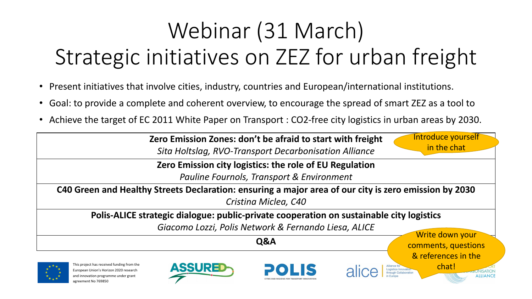



## Webinar (31 March) Strategic initiatives on ZEZ for urban freight

- Present initiatives that involve cities, industry, countries and European/international institutions.
- Goal: to provide a complete and coherent overview, to encourage the spread of smart ZEZ as a tool to
- Achieve the target of EC 2011 White Paper on Transport : CO2-free city logistics in urban areas by 2030.

**Zero Emission Zones: don't be afraid to start with freight** *Sita Holtslag, RVO-Transport Decarbonisation Alliance*

**Zero Emission city logistics: the role of EU Regulation** *Pauline Fournols, Transport & Environment*

**C40 Green and Healthy Streets Declaration: ensuring a major area of our city is zero emission by 2030** *Cristina Miclea, C40*

**Polis-ALICE strategic dialogue: public-private cooperation on sustainable city logistics**

*Giacomo Lozzi, Polis Network & Fernando Liesa, ALICE*

**Q&A**



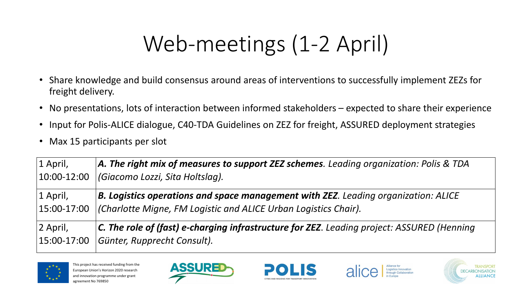



- Share knowledge and build consensus around areas of interventions to successfully implement ZEZs for freight delivery.
- No presentations, lots of interaction between informed stakeholders expected to share their experience
- Input for Polis-ALICE dialogue, C40-TDA Guidelines on ZEZ for freight, ASSURED deployment strategies
- Max 15 participants per slot

## Web-meetings (1-2 April)

*A. The right mix of measures to support ZEZ schemes. Leading organization: Polis & TDA* 

*B. Logistics operations and space management with ZEZ. Leading organization: ALICE* 

| $ A$ . The right mix of measures to support ZEZ schemes. Leading     |
|----------------------------------------------------------------------|
|                                                                      |
|                                                                      |
| <b>B. Logistics operations and space management with ZEZ. Lead</b>   |
| (Charlotte Migne, FM Logistic and ALICE Urban Logistics Chair).      |
| $ C$ . The role of (fast) e-charging infrastructure for ZEZ. Leading |
|                                                                      |
|                                                                      |



*C. The role of (fast) e-charging infrastructure for ZEZ*. *Leading project: ASSURED (Henning* 



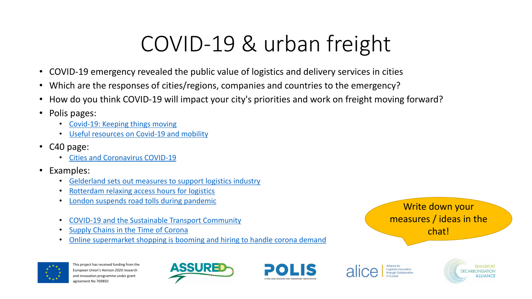



## COVID-19 & urban freight

- COVID-19 emergency revealed the public value of logistics and delivery services in cities
- Which are the responses of cities/regions, companies and countries to the emergency?
- How do you think COVID-19 will impact your city's priorities and work on freight moving forward?
- Polis pages:
	- [Covid-19: Keeping things moving](https://www.polisnetwork.eu/document/covid-19-keeping-things-moving/)
	- [Useful resources on Covid-19 and mobility](https://www.polisnetwork.eu/document/resources-covid-19-mobility/)
- C40 page:
	- [Cities and Coronavirus COVID-19](https://www.c40knowledgehub.org/s/article/Cities-and-Coronavirus-COVID-19?language=en_US)
- Examples:
	- [Gelderland sets out measures to support logistics industry](https://www.polisnetwork.eu/article/gelderland-sets-out-measures-to-support-logistics-industry/?id=122791)
	- [Rotterdam relaxing access hours for logistics](https://www.rotterdam.nl/nieuws/flexibele-bevoorrading/)
	- [London suspends road tolls during pandemic](https://www.electrive.com/2020/03/23/london-suspends-road-tolls-during-pandemic/)
	- [COVID-19 and the Sustainable Transport Community](https://slocat.net/covid-19-and-the-sustainable-transport-community/)
	- [Supply Chains in the Time of Corona](https://www.smartfreightcentre.org/en/news/supply-chains-in-the-time-of-corona/13050/?x-craft-preview=oVSrRpzatG&token=tW-86oY_uyafUJKWIZulmf44uBMe0TwL)
	- [Online supermarket shopping is booming and hiring to handle corona demand](https://www.nu.nl/economie/6040250/online-boodschappen-doen-breekt-definitief-door-dankzij-coronacrisis.html)



#### Write down your measures / ideas in the chat!